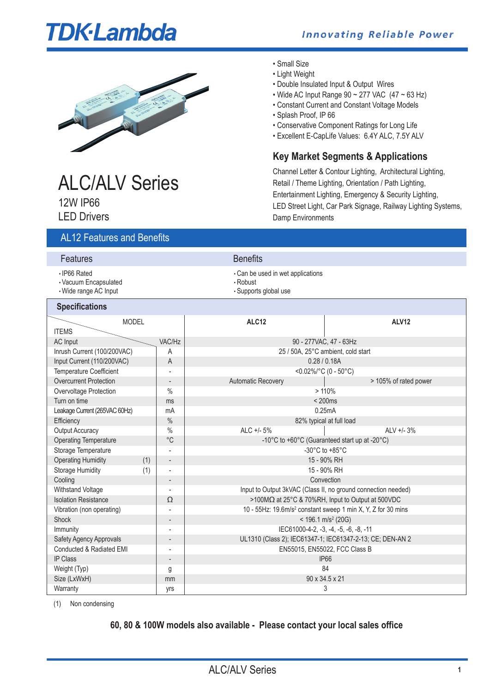# **TDK**·Lambda

### **Innovating Reliable Power**



### • Small Size

- Light Weight
- Double Insulated Input & Output Wires
- Wide AC Input Range  $90 \sim 277$  VAC  $(47 \sim 63$  Hz)
- Constant Current and Constant Voltage Models
- Splash Proof, IP 66
- Conservative Component Ratings for Long Life
- Excellent E-CapLife Values: 6.4Y ALC, 7.5Y ALV

### **Key Market Segments & Applications**

Channel Letter & Contour Lighting, Architectural Lighting, Retail / Theme Lighting, Orientation / Path Lighting, Entertainment Lighting, Emergency & Security Lighting, LED Street Light, Car Park Signage, Railway Lighting Systems, Damp Environments

## ALC/ALV Series 12W IP66

LED Drivers

### AL12 Features and Benefits

| Features                                                       |              |        | <b>Benefits</b>                         |                                   |  |  |
|----------------------------------------------------------------|--------------|--------|-----------------------------------------|-----------------------------------|--|--|
| ⋅ IP66 Rated<br>· Vacuum Encapsulated<br>· Wide range AC Input |              |        | $\cdot$ Robust<br>· Supports global use | • Can be used in wet applications |  |  |
| <b>Specifications</b>                                          |              |        |                                         |                                   |  |  |
| <b>ITEMS</b>                                                   | <b>MODEL</b> |        | ALC <sub>12</sub>                       | <b>ALV12</b>                      |  |  |
| $\Lambda$ Clnnut                                               |              | VAC/H7 |                                         | $00 - 2771/10C$ $17 - 63H$        |  |  |

| IVIVDLL                        |                          |                                                                          |                          |  |  |
|--------------------------------|--------------------------|--------------------------------------------------------------------------|--------------------------|--|--|
| <b>ITEMS</b>                   |                          |                                                                          |                          |  |  |
| <b>AC</b> Input                | VAC/Hz                   | 90 - 277VAC, 47 - 63Hz                                                   |                          |  |  |
| Inrush Current (100/200VAC)    | A                        | 25 / 50A, 25°C ambient, cold start                                       |                          |  |  |
| Input Current (110/200VAC)     | A                        |                                                                          | 0.28 / 0.18A             |  |  |
| <b>Temperature Coefficient</b> |                          |                                                                          | <0.02%/°C (0 - 50°C)     |  |  |
| <b>Overcurrent Protection</b>  |                          | <b>Automatic Recovery</b>                                                | > 105% of rated power    |  |  |
| Overvoltage Protection         | $\%$                     |                                                                          | >110%                    |  |  |
| Turn on time                   | ms                       |                                                                          | < 200ms                  |  |  |
| Leakage Current (265VAC 60Hz)  | mA                       |                                                                          | 0.25mA                   |  |  |
| Efficiency                     | $\%$                     |                                                                          | 82% typical at full load |  |  |
| <b>Output Accuracy</b>         | $\frac{0}{0}$            | ALC $+/-5%$                                                              | ALV $+/- 3\%$            |  |  |
| <b>Operating Temperature</b>   | $^{\circ}$ C             | -10°C to +60°C (Guaranteed start up at -20°C)                            |                          |  |  |
| Storage Temperature            |                          | $-30^{\circ}$ C to $+85^{\circ}$ C                                       |                          |  |  |
| <b>Operating Humidity</b>      | (1)                      | 15 - 90% RH                                                              |                          |  |  |
| <b>Storage Humidity</b>        | (1)                      | 15 - 90% RH                                                              |                          |  |  |
| Cooling                        | $\overline{\phantom{a}}$ | Convection                                                               |                          |  |  |
| Withstand Voltage              |                          | Input to Output 3kVAC (Class II, no ground connection needed)            |                          |  |  |
| <b>Isolation Resistance</b>    | Ω                        | >100MΩ at 25°C & 70%RH, Input to Output at 500VDC                        |                          |  |  |
| Vibration (non operating)      |                          | 10 - 55Hz: 19.6m/s <sup>2</sup> constant sweep 1 min X, Y, Z for 30 mins |                          |  |  |
| Shock                          |                          | $<$ 196.1 m/s <sup>2</sup> (20G)                                         |                          |  |  |
| Immunity                       |                          | IEC61000-4-2, -3, -4, -5, -6, -8, -11                                    |                          |  |  |
| Safety Agency Approvals        |                          | UL1310 (Class 2); IEC61347-1; IEC61347-2-13; CE; DEN-AN 2                |                          |  |  |
| Conducted & Radiated EMI       |                          | EN55015, EN55022, FCC Class B                                            |                          |  |  |
| <b>IP Class</b>                |                          | <b>IP66</b>                                                              |                          |  |  |
| Weight (Typ)                   | g                        | 84                                                                       |                          |  |  |
| Size (LxWxH)                   | mm                       |                                                                          | 90 x 34.5 x 21           |  |  |
| Warranty                       | yrs                      | 3                                                                        |                          |  |  |
|                                |                          |                                                                          |                          |  |  |

(1) Non condensing

### **60, 80 & 100W models also available - Please contact your local sales office**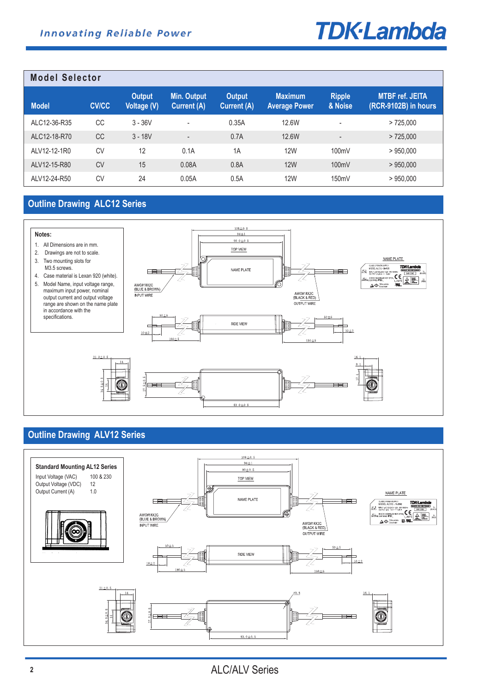# **TDK-Lambda**

| <b>Model Selector</b> |              |                       |                                          |                              |                                        |                          |                                                |
|-----------------------|--------------|-----------------------|------------------------------------------|------------------------------|----------------------------------------|--------------------------|------------------------------------------------|
| <b>Model</b>          | <b>CV/CC</b> | Output<br>Voltage (V) | <b>Min. Output</b><br><b>Current (A)</b> | <b>Output</b><br>Current (A) | <b>Maximum</b><br><b>Average Power</b> | <b>Ripple</b><br>& Noise | <b>MTBF ref. JEITA</b><br>(RCR-9102B) in hours |
| ALC12-36-R35          | CC           | $3 - 36V$             | ٠                                        | 0.35A                        | 12.6W                                  | $\overline{\phantom{a}}$ | >725.000                                       |
| AI C12-18-R70         | <b>CC</b>    | $3 - 18V$             | $\overline{\phantom{a}}$                 | 0.7A                         | 12.6W                                  | $\overline{\phantom{a}}$ | > 725.000                                      |
| AI V12-12-1R0         | CV           | 12                    | 0.1A                                     | 1A                           | <b>12W</b>                             | 100mV                    | >950.000                                       |
| ALV12-15-R80          | <b>CV</b>    | 15                    | 0.08A                                    | 0.8A                         | <b>12W</b>                             | 100mV                    | >950.000                                       |
| ALV12-24-R50          | CV           | 24                    | 0.05A                                    | 0.5A                         | 12W                                    | 150mV                    | >950,000                                       |

### **Outline Drawing ALC12 Series**



### **Outline Drawing ALV12 Series**

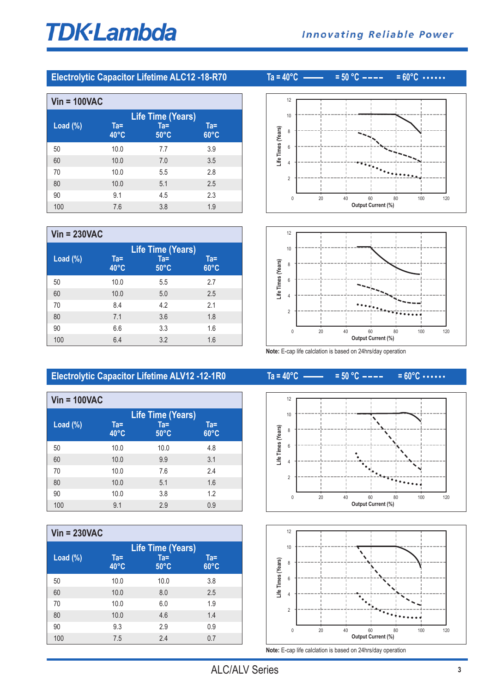# **TDK-Lambda**

### **Electrolytic Capacitor Lifetime ALC12 -18-R70 Ta = 40°C = 50 °C = 60°C**

**Vin = 100VAC Life Time (Years) Load (%) Ta= Ta= Ta= 40°C 50°C 60°C** 10.0 7.7 3.9 10.0 7.0 3.5 10.0 5.5 2.8 10.0 5.1 2.5 9.1 4.5 2.3 7.6 3.8 1.9

| $Vin = 230VAC$ |                          |                                                      |                          |  |
|----------------|--------------------------|------------------------------------------------------|--------------------------|--|
| Load $(\%)$    | $Ta =$<br>$40^{\circ}$ C | <b>Life Time (Years)</b><br>$Ta =$<br>$50^{\circ}$ C | $Ta =$<br>$60^{\circ}$ C |  |
| 50             | 10.0                     | 5.5                                                  | 2.7                      |  |
| 60             | 10.0                     | 5.0                                                  | 2.5                      |  |
| 70             | 8.4                      | 4.2                                                  | 2.1                      |  |
| 80             | 7.1                      | 3.6                                                  | 1.8                      |  |
| 90             | 6.6                      | 3.3                                                  | 1.6                      |  |
| 100            | 6.4                      | 3.2                                                  | 1.6                      |  |

## 





**Note:** E-cap life calclation is based on 24hrs/day operation

### **Electrolytic Capacitor Lifetime ALV12 -12-1R0 Ta = 40°C = 50 °C = 60°C**

| $V$ in = 100VAC |                          |                                                      |                       |
|-----------------|--------------------------|------------------------------------------------------|-----------------------|
| Load $(\%)$     | $Ta =$<br>$40^{\circ}$ C | <b>Life Time (Years)</b><br>$Ta =$<br>$50^{\circ}$ C | Ta=<br>$60^{\circ}$ C |
| 50              | 10.0                     | 10.0                                                 | 4.8                   |
| 60              | 10.0                     | 9.9                                                  | 3.1                   |
| 70              | 10.0                     | 7.6                                                  | 24                    |
| 80              | 10.0                     | 5.1                                                  | 1.6                   |
| 90              | 10.0                     | 3.8                                                  | 1.2                   |
| 100             | 9.1                      | 2.9                                                  | 0.9                   |

| $Vin = 230VAC$ |                          |                                                      |                          |
|----------------|--------------------------|------------------------------------------------------|--------------------------|
| Load $(\%)$    | $Ta =$<br>$40^{\circ}$ C | <b>Life Time (Years)</b><br>$Ta =$<br>$50^{\circ}$ C | $Ta =$<br>$60^{\circ}$ C |
| 50             | 10.0                     | 10.0                                                 | 3.8                      |
| 60             | 10.0                     | 8.0                                                  | 2.5                      |
| 70             | 10.0                     | 6.0                                                  | 1.9                      |
| 80             | 10.0                     | 4.6                                                  | 1.4                      |
| 90             | 9.3                      | 2.9                                                  | 0.9                      |
| 100            | 7.5                      | 2.4                                                  | 0.7                      |